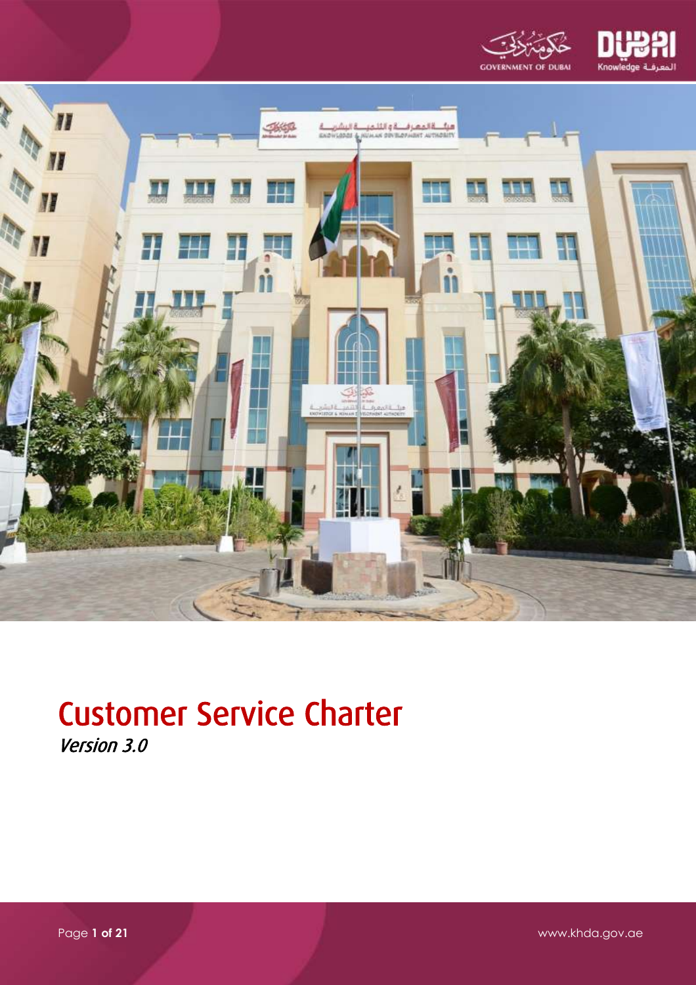





# Customer Service Charter Version 3.0

Page **1 of 21** www.khda.gov.ae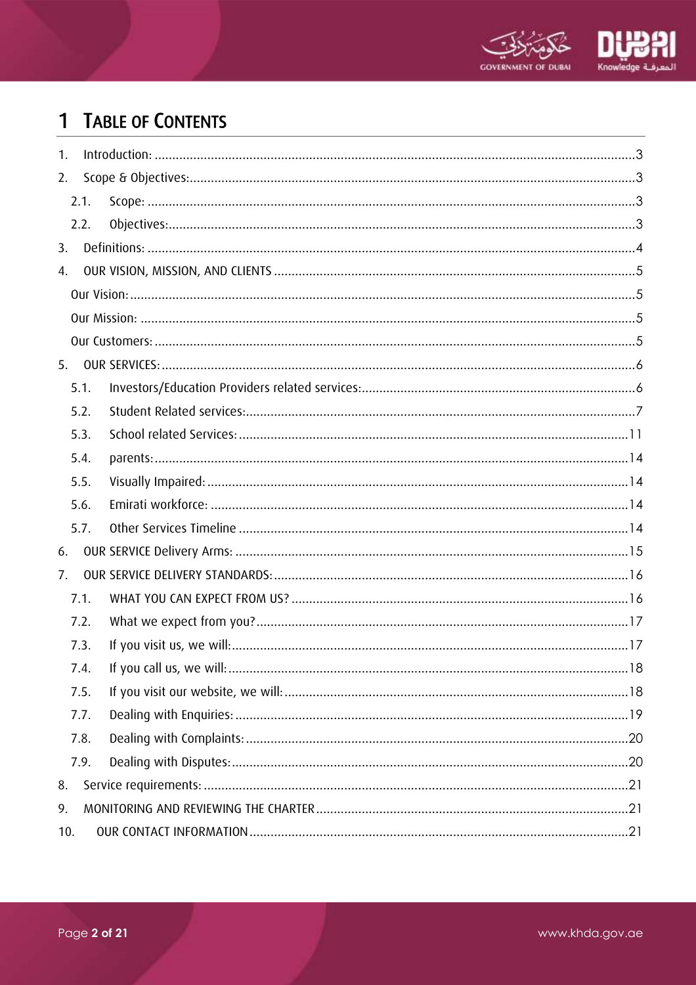

# 1 TABLE OF CONTENTS

| 1.  |      |  |
|-----|------|--|
| 2.  |      |  |
|     | 2.1. |  |
|     | 2.2. |  |
| 3.  |      |  |
| 4.  |      |  |
|     |      |  |
|     |      |  |
|     |      |  |
| 5.  |      |  |
|     | 5.1. |  |
|     | 5.2. |  |
|     | 5.3. |  |
|     | 5.4. |  |
|     | 5.5. |  |
|     | 5.6. |  |
|     | 5.7. |  |
| 6.  |      |  |
| 7.  |      |  |
|     | 7.1. |  |
|     | 7.2. |  |
|     | 7.3. |  |
|     | 7.4. |  |
|     | 7.5. |  |
|     | 7.7. |  |
|     | 7.8. |  |
|     | 7.9. |  |
| 8.  |      |  |
| 9.  |      |  |
| 10. |      |  |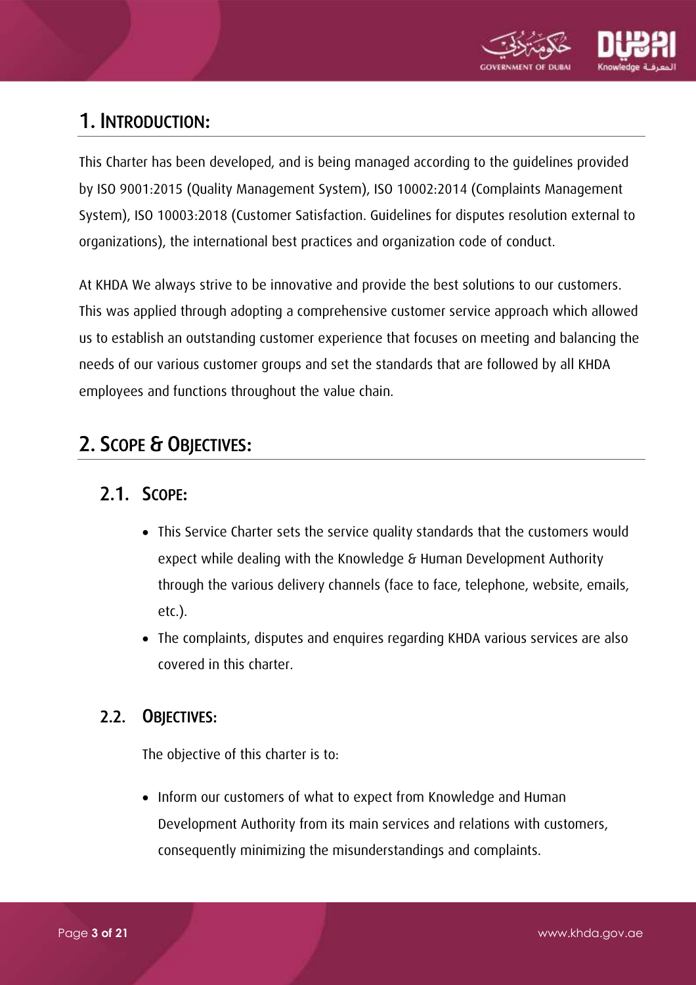

# <span id="page-2-0"></span>1. INTRODUCTION:

This Charter has been developed, and is being managed according to the guidelines provided by ISO 9001:2015 (Quality Management System), ISO 10002:2014 (Complaints Management System), ISO 10003:2018 (Customer Satisfaction. Guidelines for disputes resolution external to organizations), the international best practices and organization code of conduct.

At KHDA We always strive to be innovative and provide the best solutions to our customers. This was applied through adopting a comprehensive customer service approach which allowed us to establish an outstanding customer experience that focuses on meeting and balancing the needs of our various customer groups and set the standards that are followed by all KHDA employees and functions throughout the value chain.

# <span id="page-2-2"></span><span id="page-2-1"></span>2. SCOPE & OBJECTIVES:

### 2.1. SCOPE:

- This Service Charter sets the service quality standards that the customers would expect while dealing with the Knowledge & Human Development Authority through the various delivery channels (face to face, telephone, website, emails, etc.).
- The complaints, disputes and enquires regarding KHDA various services are also covered in this charter.

### <span id="page-2-3"></span>2.2. OBJECTIVES:

The objective of this charter is to:

• Inform our customers of what to expect from Knowledge and Human Development Authority from its main services and relations with customers, consequently minimizing the misunderstandings and complaints.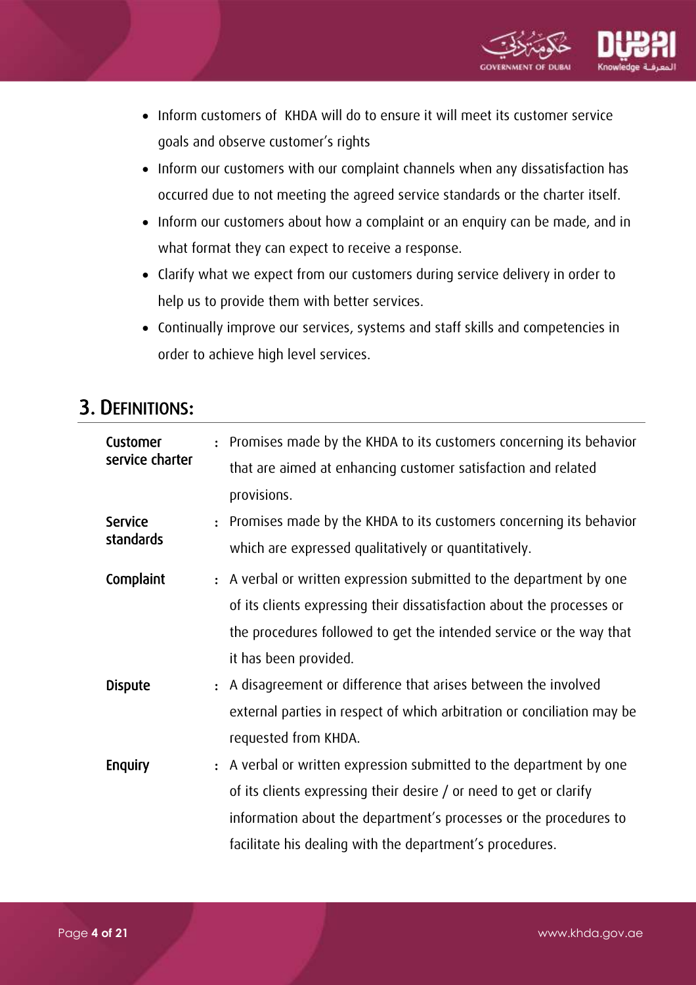

- Inform customers of KHDA will do to ensure it will meet its customer service goals and observe customer's rights
- Inform our customers with our complaint channels when any dissatisfaction has occurred due to not meeting the agreed service standards or the charter itself.
- Inform our customers about how a complaint or an enquiry can be made, and in what format they can expect to receive a response.
- Clarify what we expect from our customers during service delivery in order to help us to provide them with better services.
- Continually improve our services, systems and staff skills and competencies in order to achieve high level services.

### <span id="page-3-0"></span>3. DEFINITIONS:

| Customer        | $\ddot{\cdot}$ | Promises made by the KHDA to its customers concerning its behavior      |
|-----------------|----------------|-------------------------------------------------------------------------|
| service charter |                | that are aimed at enhancing customer satisfaction and related           |
|                 |                | provisions.                                                             |
| <b>Service</b>  |                | Promises made by the KHDA to its customers concerning its behavior      |
| standards       |                | which are expressed qualitatively or quantitatively.                    |
| Complaint       |                | : A verbal or written expression submitted to the department by one     |
|                 |                | of its clients expressing their dissatisfaction about the processes or  |
|                 |                | the procedures followed to get the intended service or the way that     |
|                 |                | it has been provided.                                                   |
| <b>Dispute</b>  | $\ddot{\cdot}$ | A disagreement or difference that arises between the involved           |
|                 |                | external parties in respect of which arbitration or conciliation may be |
|                 |                | requested from KHDA.                                                    |
| Enquiry         |                | : A verbal or written expression submitted to the department by one     |
|                 |                | of its clients expressing their desire / or need to get or clarify      |
|                 |                | information about the department's processes or the procedures to       |
|                 |                | facilitate his dealing with the department's procedures.                |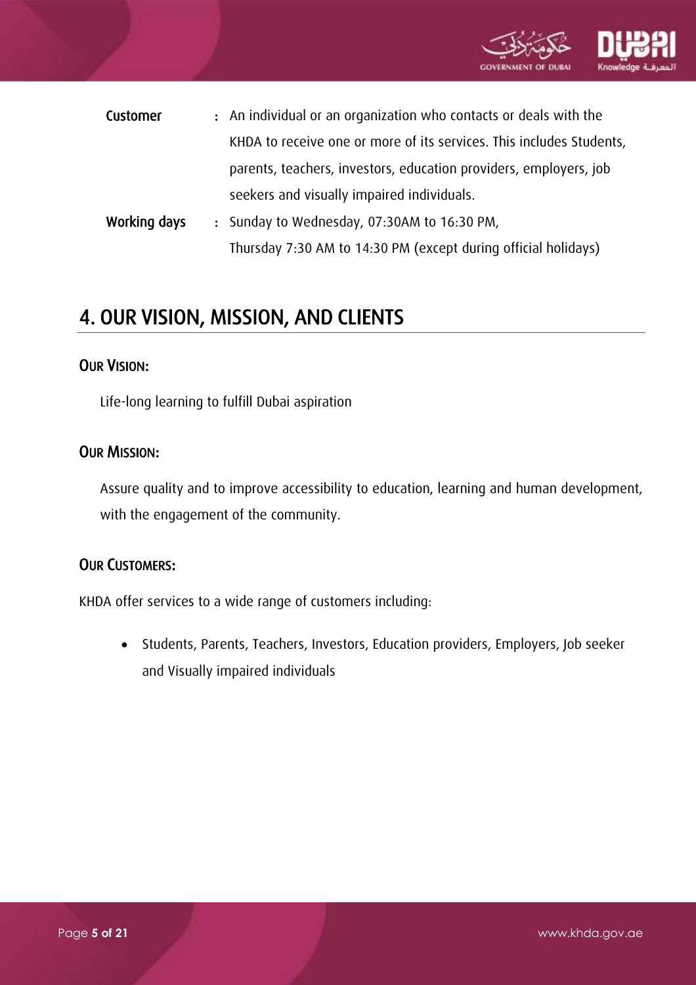

| Customer | : An individual or an organization who contacts or deals with the    |
|----------|----------------------------------------------------------------------|
|          | KHDA to receive one or more of its services. This includes Students, |
|          | parents, teachers, investors, education providers, employers, job    |
|          | seekers and visually impaired individuals.                           |

Working days : Sunday to Wednesday, 07:30AM to 16:30 PM, Thursday 7:30 AM to 14:30 PM (except during official holidays)

# <span id="page-4-0"></span>4. OUR VISION, MISSION, AND CLIENTS

#### <span id="page-4-1"></span>OUR VISION:

Life-long learning to fulfill Dubai aspiration

#### <span id="page-4-2"></span>OUR MISSION:

Assure quality and to improve accessibility to education, learning and human development, with the engagement of the community.

#### <span id="page-4-3"></span>OUR CUSTOMERS:

KHDA offer services to a wide range of customers including:

 Students, Parents, Teachers, Investors, Education providers, Employers, Job seeker and Visually impaired individuals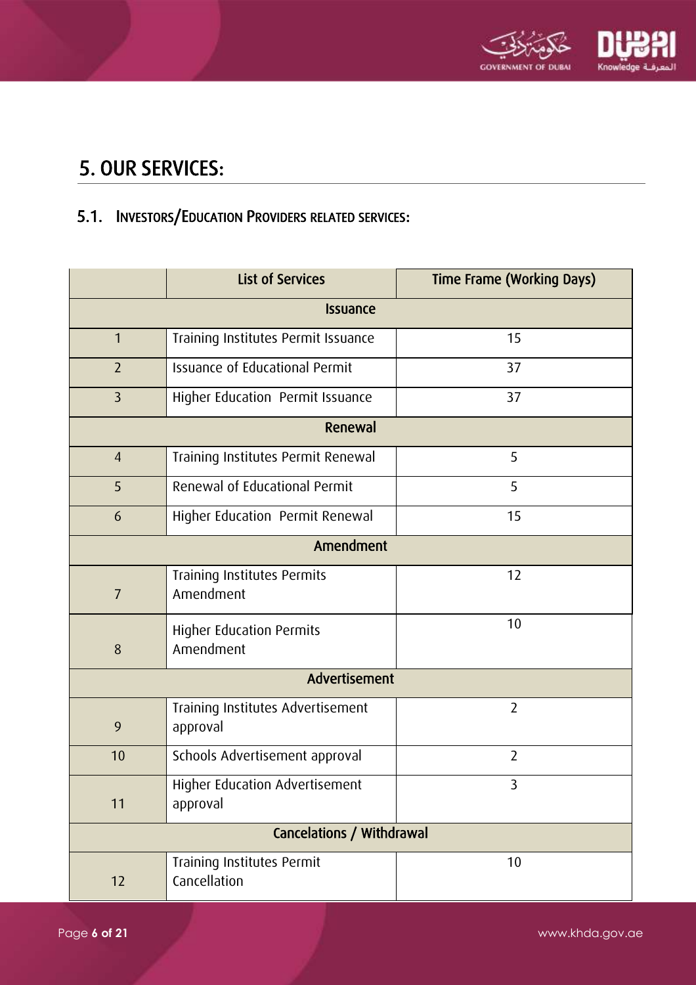

# <span id="page-5-0"></span>5. OUR SERVICES:

## <span id="page-5-1"></span>5.1. INVESTORS/EDUCATION PROVIDERS RELATED SERVICES:

| <b>List of Services</b>                            |                                               | <b>Time Frame (Working Days)</b> |  |  |  |
|----------------------------------------------------|-----------------------------------------------|----------------------------------|--|--|--|
|                                                    | <b>Issuance</b>                               |                                  |  |  |  |
| $\mathbf{1}$                                       | Training Institutes Permit Issuance           | 15                               |  |  |  |
| $\overline{2}$                                     | <b>Issuance of Educational Permit</b>         | 37                               |  |  |  |
| $\overline{3}$<br>Higher Education Permit Issuance |                                               | 37                               |  |  |  |
| Renewal                                            |                                               |                                  |  |  |  |
| $\overline{4}$                                     | Training Institutes Permit Renewal            | 5                                |  |  |  |
| 5                                                  | Renewal of Educational Permit                 | 5                                |  |  |  |
| 6                                                  | Higher Education Permit Renewal               | 15                               |  |  |  |
| Amendment                                          |                                               |                                  |  |  |  |
| $\overline{I}$                                     | Training Institutes Permits<br>Amendment      | 12                               |  |  |  |
| 8                                                  | <b>Higher Education Permits</b><br>Amendment  | 10                               |  |  |  |
|                                                    | Advertisement                                 |                                  |  |  |  |
| 9                                                  | Training Institutes Advertisement<br>approval | $\overline{2}$                   |  |  |  |
| 10                                                 | Schools Advertisement approval                | $\overline{2}$                   |  |  |  |
| 11                                                 | Higher Education Advertisement<br>approval    | 3                                |  |  |  |
|                                                    | Cancelations / Withdrawal                     |                                  |  |  |  |
| 12                                                 | Training Institutes Permit<br>Cancellation    | 10                               |  |  |  |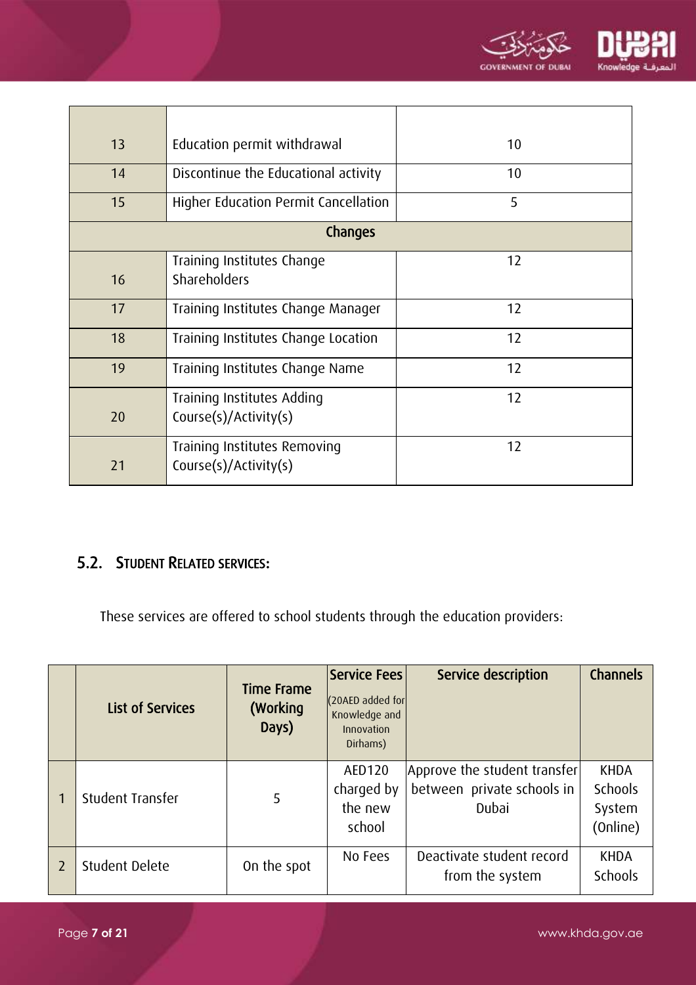

| 13                                        | Education permit withdrawal                           | 10 |
|-------------------------------------------|-------------------------------------------------------|----|
| 14                                        | Discontinue the Educational activity                  | 10 |
| 15                                        | Higher Education Permit Cancellation                  | 5  |
|                                           | Changes                                               |    |
| 16                                        | Training Institutes Change<br>Shareholders            | 12 |
| 17                                        | Training Institutes Change Manager                    | 12 |
| 18<br>Training Institutes Change Location |                                                       | 12 |
| 19<br>Training Institutes Change Name     |                                                       | 12 |
| 20                                        | Training Institutes Adding<br>Course(s)/Activity(s)   | 12 |
| 21                                        | Training Institutes Removing<br>Course(s)/Activity(s) | 12 |

### <span id="page-6-0"></span>5.2. STUDENT RELATED SERVICES:

These services are offered to school students through the education providers:

|   | <b>List of Services</b> | <b>Time Frame</b><br>(Working<br>Days) | Service Fees<br>(20AED added for<br>Knowledge and<br>Innovation<br>Dirhams) | Service description                                                 | <b>Channels</b>                              |
|---|-------------------------|----------------------------------------|-----------------------------------------------------------------------------|---------------------------------------------------------------------|----------------------------------------------|
|   | Student Transfer        | 5                                      | AED120<br>charged by<br>the new<br>school                                   | Approve the student transfer<br>between private schools in<br>Dubai | <b>KHDA</b><br>Schools<br>System<br>(Online) |
| 2 | Student Delete          | On the spot                            | No Fees                                                                     | Deactivate student record<br>from the system                        | <b>KHDA</b><br><b>Schools</b>                |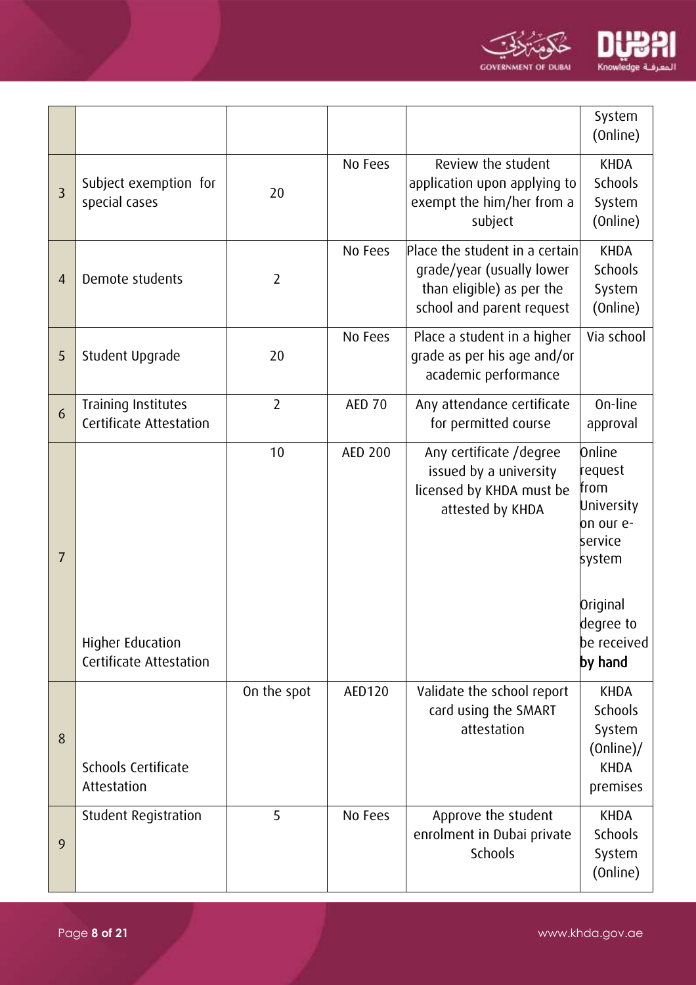

|                |                                                |                |                |                                                                                                                       | System<br>(Online)                                                        |
|----------------|------------------------------------------------|----------------|----------------|-----------------------------------------------------------------------------------------------------------------------|---------------------------------------------------------------------------|
| $\overline{3}$ | Subject exemption for<br>special cases         | 20             | No Fees        | Review the student<br>application upon applying to<br>exempt the him/her from a<br>subject                            | <b>KHDA</b><br>Schools<br>System<br>(Online)                              |
| $\overline{4}$ | Demote students                                | $\overline{2}$ | No Fees        | Place the student in a certain<br>grade/year (usually lower<br>than eligible) as per the<br>school and parent request | <b>KHDA</b><br><b>Schools</b><br>System<br>(Online)                       |
| 5              | Student Upgrade                                | 20             | No Fees        | Place a student in a higher<br>grade as per his age and/or<br>academic performance                                    | Via school                                                                |
| 6              | Training Institutes<br>Certificate Attestation | $\overline{2}$ | <b>AED 70</b>  | Any attendance certificate<br>for permitted course                                                                    | On-line<br>approval                                                       |
| $\overline{7}$ |                                                | 10             | <b>AED 200</b> | Any certificate / degree<br>issued by a university<br>licensed by KHDA must be<br>attested by KHDA                    | Online<br>request<br>from<br>University<br>on our e-<br>service<br>system |
|                | Higher Education<br>Certificate Attestation    |                |                |                                                                                                                       | Original<br>degree to<br>be received<br>by hand                           |
| 8              | Schools Certificate<br>Attestation             | On the spot    | <b>AED120</b>  | Validate the school report<br>card using the SMART<br>attestation                                                     | <b>KHDA</b><br>Schools<br>System<br>(Online)<br><b>KHDA</b><br>premises   |
| 9              | Student Registration                           | 5              | No Fees        | Approve the student<br>enrolment in Dubai private<br>Schools                                                          | <b>KHDA</b><br><b>Schools</b><br>System<br>(Online)                       |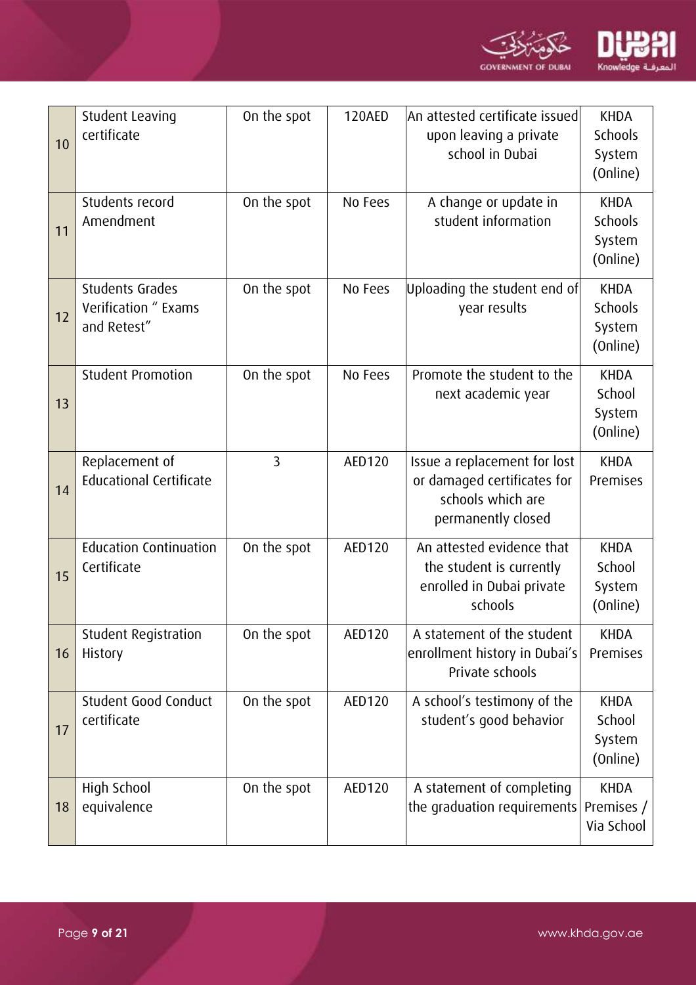

| 10 | Student Leaving<br>certificate                                | On the spot    | <b>120AED</b> | An attested certificate issued<br>upon leaving a private<br>school in Dubai                            | <b>KHDA</b><br>Schools<br>System<br>(Online)        |
|----|---------------------------------------------------------------|----------------|---------------|--------------------------------------------------------------------------------------------------------|-----------------------------------------------------|
| 11 | Students record<br>Amendment                                  | On the spot    | No Fees       | A change or update in<br>student information                                                           | <b>KHDA</b><br><b>Schools</b><br>System<br>(Online) |
| 12 | <b>Students Grades</b><br>Verification " Exams<br>and Retest" | On the spot    | No Fees       | Uploading the student end of<br>year results                                                           | <b>KHDA</b><br>Schools<br>System<br>(Online)        |
| 13 | <b>Student Promotion</b>                                      | On the spot    | No Fees       | Promote the student to the<br>next academic year                                                       | <b>KHDA</b><br>School<br>System<br>(Online)         |
| 14 | Replacement of<br><b>Educational Certificate</b>              | $\overline{3}$ | AED120        | Issue a replacement for lost<br>or damaged certificates for<br>schools which are<br>permanently closed | <b>KHDA</b><br>Premises                             |
| 15 | <b>Education Continuation</b><br>Certificate                  | On the spot    | <b>AED120</b> | An attested evidence that<br>the student is currently<br>enrolled in Dubai private<br>schools          | <b>KHDA</b><br>School<br>System<br>(Online)         |
| 16 | Student Registration<br>History                               | On the spot    | AED120        | A statement of the student<br>enrollment history in Dubai's<br>Private schools                         | <b>KHDA</b><br>Premises                             |
| 17 | Student Good Conduct<br>certificate                           | On the spot    | AED120        | A school's testimony of the<br>student's good behavior                                                 | <b>KHDA</b><br>School<br>System<br>(Online)         |
| 18 | High School<br>equivalence                                    | On the spot    | AED120        | A statement of completing<br>the graduation requirements                                               | <b>KHDA</b><br>Premises /<br>Via School             |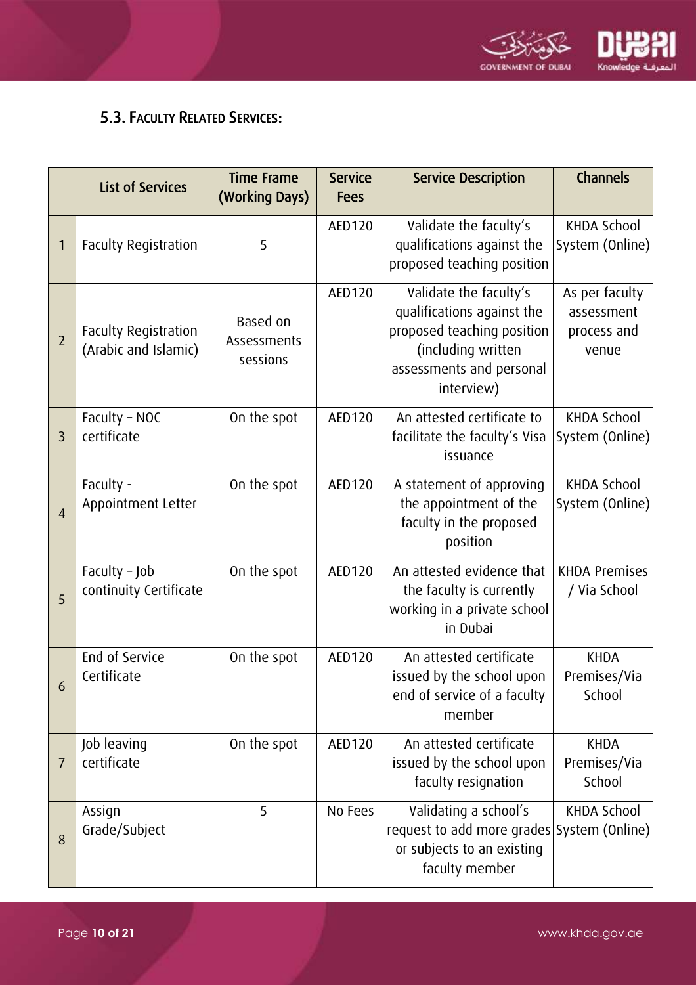

### 5.3. FACULTY RELATED SERVICES:

|                | <b>List of Services</b>                      | <b>Time Frame</b><br>(Working Days) | <b>Service</b><br><b>Fees</b> | <b>Service Description</b>                                                                                                                         | Channels                                             |
|----------------|----------------------------------------------|-------------------------------------|-------------------------------|----------------------------------------------------------------------------------------------------------------------------------------------------|------------------------------------------------------|
|                | <b>Faculty Registration</b>                  | 5                                   | AED120                        | Validate the faculty's<br>qualifications against the<br>proposed teaching position                                                                 | <b>KHDA School</b><br>System (Online)                |
| $\overline{2}$ | Faculty Registration<br>(Arabic and Islamic) | Based on<br>Assessments<br>sessions | AED120                        | Validate the faculty's<br>qualifications against the<br>proposed teaching position<br>(including written<br>assessments and personal<br>interview) | As per faculty<br>assessment<br>process and<br>venue |
| $\overline{3}$ | Faculty - NOC<br>certificate                 | On the spot                         | AED120                        | An attested certificate to<br>facilitate the faculty's Visa<br>issuance                                                                            | <b>KHDA School</b><br>System (Online)                |
| $\overline{4}$ | Faculty -<br>Appointment Letter              | On the spot                         | AED120                        | A statement of approving<br>the appointment of the<br>faculty in the proposed<br>position                                                          | <b>KHDA School</b><br>System (Online)                |
| 5              | Faculty $-$ Job<br>continuity Certificate    | On the spot                         | AED120                        | An attested evidence that<br>the faculty is currently<br>working in a private school<br>in Dubai                                                   | <b>KHDA Premises</b><br>/ Via School                 |
| 6              | End of Service<br>Certificate                | On the spot                         | AED120                        | An attested certificate<br>issued by the school upon<br>end of service of a faculty<br>member                                                      | <b>KHDA</b><br>Premises/Via<br>School                |
| $\overline{I}$ | Job leaving<br>certificate                   | On the spot                         | AED120                        | An attested certificate<br>issued by the school upon<br>faculty resignation                                                                        | <b>KHDA</b><br>Premises/Via<br>School                |
| 8              | Assign<br>Grade/Subject                      | 5                                   | No Fees                       | Validating a school's<br>request to add more grades System (Online)<br>or subjects to an existing<br>faculty member                                | <b>KHDA School</b>                                   |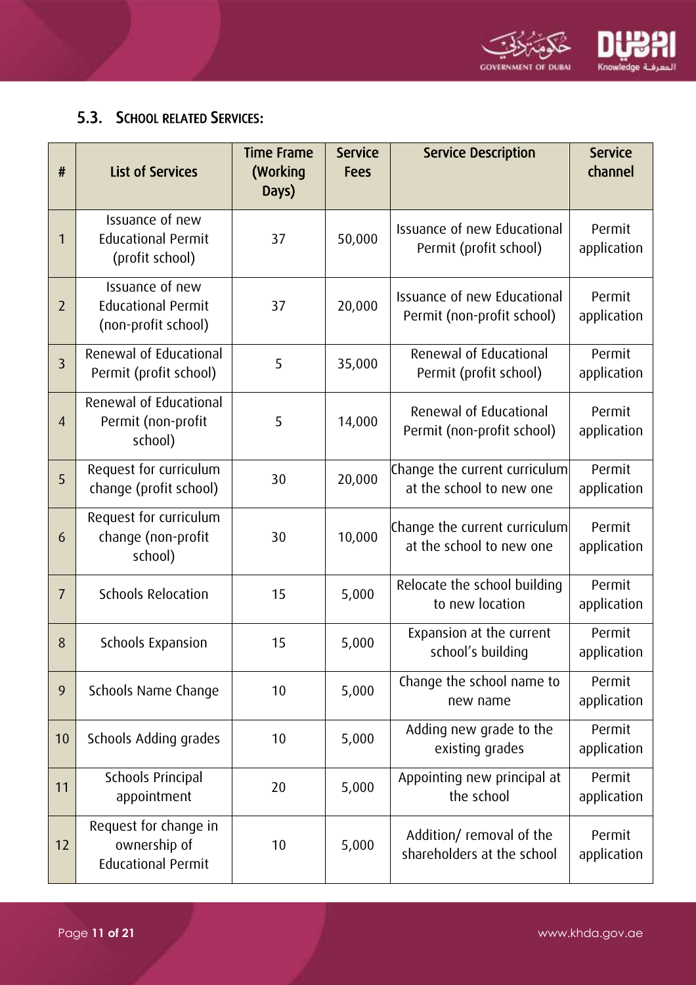

### <span id="page-10-0"></span>5.3. SCHOOL RELATED SERVICES:

| #              | <b>List of Services</b>                                             | <b>Time Frame</b><br>(Working<br>Days) | <b>Service</b><br><b>Fees</b> | <b>Service Description</b>                                | <b>Service</b><br>channel |
|----------------|---------------------------------------------------------------------|----------------------------------------|-------------------------------|-----------------------------------------------------------|---------------------------|
| 1              | Issuance of new<br><b>Educational Permit</b><br>(profit school)     | 37                                     | 50,000                        | Issuance of new Educational<br>Permit (profit school)     | Permit<br>application     |
| $\overline{2}$ | Issuance of new<br><b>Educational Permit</b><br>(non-profit school) | 37                                     | 20,000                        | Issuance of new Educational<br>Permit (non-profit school) | Permit<br>application     |
| $\overline{3}$ | Renewal of Educational<br>Permit (profit school)                    | 5                                      | 35,000                        | Renewal of Educational<br>Permit (profit school)          | Permit<br>application     |
| $\overline{4}$ | Renewal of Educational<br>Permit (non-profit<br>school)             | 5                                      | 14,000                        | Renewal of Educational<br>Permit (non-profit school)      | Permit<br>application     |
| 5              | Request for curriculum<br>change (profit school)                    | 30                                     | 20,000                        | Change the current curriculum<br>at the school to new one | Permit<br>application     |
| 6              | Request for curriculum<br>change (non-profit<br>school)             | 30                                     | 10,000                        | Change the current curriculum<br>at the school to new one | Permit<br>application     |
| $\overline{7}$ | <b>Schools Relocation</b>                                           | 15                                     | 5,000                         | Relocate the school building<br>to new location           | Permit<br>application     |
| 8              | Schools Expansion                                                   | 15                                     | 5,000                         | Expansion at the current<br>school's building             | Permit<br>application     |
| 9              | Schools Name Change                                                 | 10                                     | 5,000                         | Change the school name to<br>new name                     | Permit<br>application     |
| 10             | Schools Adding grades                                               | 10                                     | 5,000                         | Adding new grade to the<br>existing grades                | Permit<br>application     |
| 11             | Schools Principal<br>appointment                                    | 20                                     | 5,000                         | Appointing new principal at<br>the school                 | Permit<br>application     |
| 12             | Request for change in<br>ownership of<br><b>Educational Permit</b>  | 10                                     | 5,000                         | Addition/ removal of the<br>shareholders at the school    | Permit<br>application     |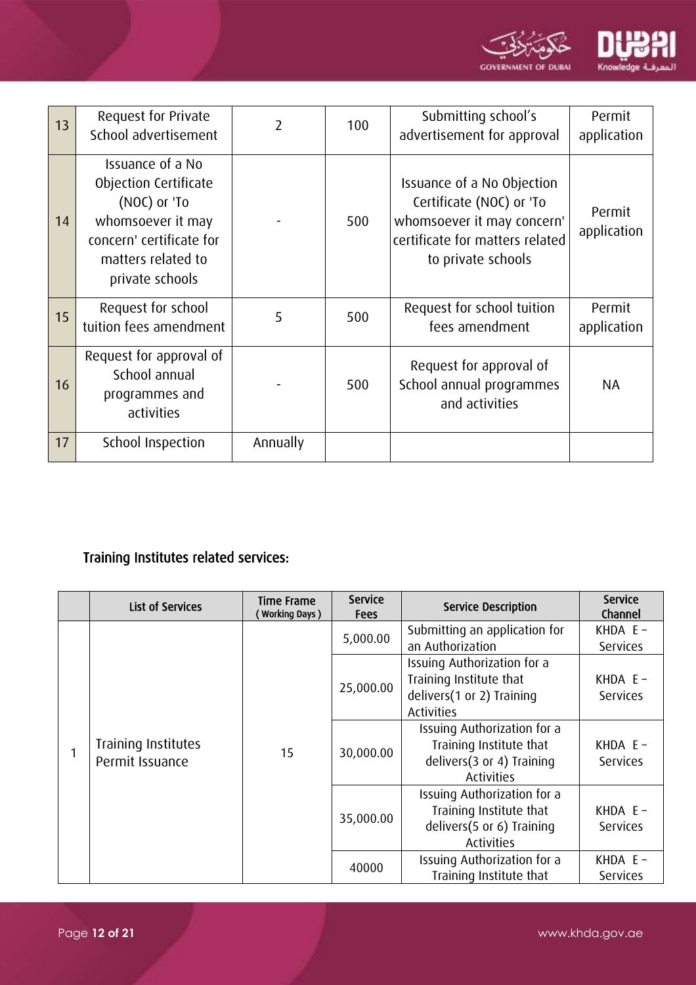

| 13 | Request for Private<br>School advertisement                                                                                                         | 2        | 100 | Submitting school's<br>advertisement for approval                                                                                             | Permit<br>application |
|----|-----------------------------------------------------------------------------------------------------------------------------------------------------|----------|-----|-----------------------------------------------------------------------------------------------------------------------------------------------|-----------------------|
| 14 | Issuance of a No<br>Objection Certificate<br>(NOC) or 'To<br>whomsoever it may<br>concern' certificate for<br>matters related to<br>private schools |          | 500 | Issuance of a No Objection<br>Certificate (NOC) or 'To<br>whomsoever it may concern'<br>certificate for matters related<br>to private schools | Permit<br>application |
| 15 | Request for school<br>tuition fees amendment                                                                                                        | 5        | 500 | Request for school tuition<br>fees amendment                                                                                                  | Permit<br>application |
| 16 | Request for approval of<br>School annual<br>programmes and<br>activities                                                                            |          | 500 | Request for approval of<br>School annual programmes<br>and activities                                                                         | NA                    |
| 17 | School Inspection                                                                                                                                   | Annually |     |                                                                                                                                               |                       |

# Training Institutes related services:

|  | <b>List of Services</b>                | <b>Time Frame</b><br>Working Days) | <b>Service</b><br><b>Fees</b> | <b>Service Description</b>                                                                               | <b>Service</b><br>Channel     |
|--|----------------------------------------|------------------------------------|-------------------------------|----------------------------------------------------------------------------------------------------------|-------------------------------|
|  |                                        | 15                                 | 5,000.00                      | Submitting an application for<br>an Authorization                                                        | KHDA $E -$<br><b>Services</b> |
|  | Training Institutes<br>Permit Issuance |                                    | 25,000.00                     | Issuing Authorization for a<br>Training Institute that<br>delivers(1 or 2) Training<br><b>Activities</b> | KHDA $E -$<br><b>Services</b> |
|  |                                        |                                    | 30,000.00                     | Issuing Authorization for a<br>Training Institute that<br>delivers(3 or 4) Training<br><b>Activities</b> | KHDA $E -$<br><b>Services</b> |
|  |                                        |                                    | 35,000.00                     | Issuing Authorization for a<br>Training Institute that<br>delivers(5 or 6) Training<br><b>Activities</b> | KHDA $E -$<br><b>Services</b> |
|  |                                        |                                    | 40000                         | Issuing Authorization for a<br>Training Institute that                                                   | KHDA $E -$<br><b>Services</b> |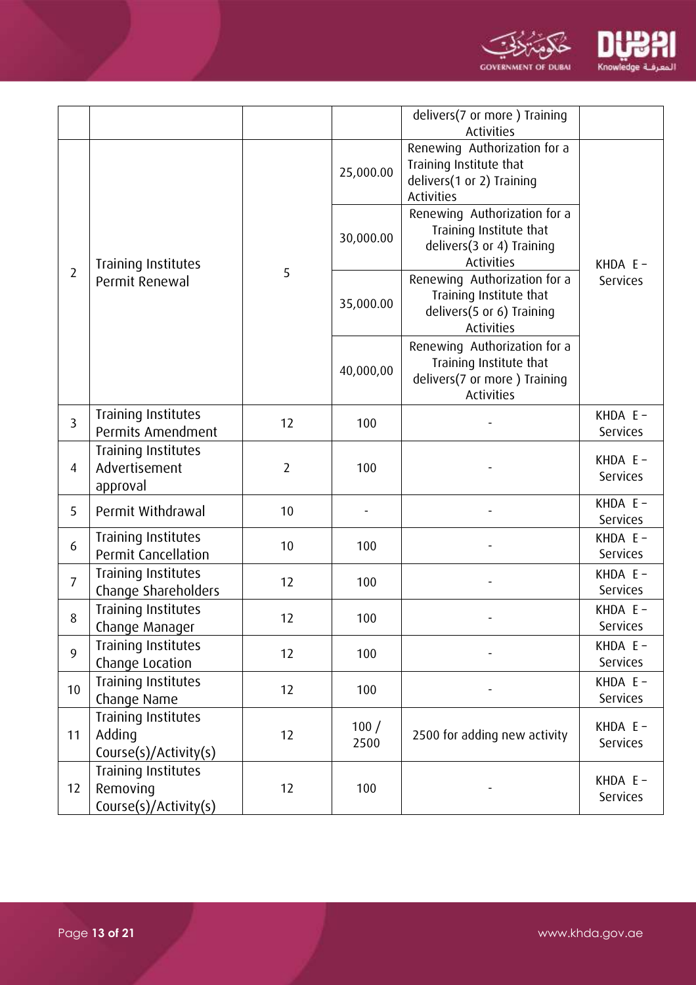

|                |                                                          |                |              | delivers(7 or more) Training<br><b>Activities</b>                                                            |                               |
|----------------|----------------------------------------------------------|----------------|--------------|--------------------------------------------------------------------------------------------------------------|-------------------------------|
|                |                                                          |                | 25,000.00    | Renewing Authorization for a<br>Training Institute that<br>delivers(1 or 2) Training<br><b>Activities</b>    |                               |
| $\overline{2}$ | Training Institutes<br>Permit Renewal                    | 5              | 30,000.00    | Renewing Authorization for a<br>Training Institute that<br>delivers(3 or 4) Training<br><b>Activities</b>    | KHDA $E -$<br><b>Services</b> |
|                |                                                          |                | 35,000.00    | Renewing Authorization for a<br>Training Institute that<br>delivers(5 or 6) Training<br><b>Activities</b>    |                               |
|                |                                                          |                | 40,000,00    | Renewing Authorization for a<br>Training Institute that<br>delivers(7 or more) Training<br><b>Activities</b> |                               |
| $\overline{3}$ | Training Institutes<br>Permits Amendment                 | 12             | 100          |                                                                                                              | KHDA $E -$<br><b>Services</b> |
| 4              | Training Institutes<br>Advertisement<br>approval         | $\overline{2}$ | 100          |                                                                                                              | KHDA $E -$<br><b>Services</b> |
| 5              | Permit Withdrawal                                        | 10             |              |                                                                                                              | KHDA $E -$<br><b>Services</b> |
| 6              | Training Institutes<br>Permit Cancellation               | 10             | 100          |                                                                                                              | KHDA $E -$<br><b>Services</b> |
| $\overline{7}$ | Training Institutes<br>Change Shareholders               | 12             | 100          |                                                                                                              | KHDA $E -$<br><b>Services</b> |
| 8              | Training Institutes<br>Change Manager                    | 12             | 100          |                                                                                                              | KHDA $E -$<br><b>Services</b> |
| 9              | Training Institutes<br>Change Location                   | 12             | 100          |                                                                                                              | KHDA $E -$<br>Services        |
| 10             | Training Institutes<br>Change Name                       | 12             | 100          |                                                                                                              | KHDA $E -$<br><b>Services</b> |
| 11             | Training Institutes<br>Adding<br>Course(s)/Activity(s)   | 12             | 100/<br>2500 | 2500 for adding new activity                                                                                 | KHDA $E -$<br><b>Services</b> |
| 12             | Training Institutes<br>Removing<br>Course(s)/Activity(s) | 12             | 100          |                                                                                                              | KHDA E-<br><b>Services</b>    |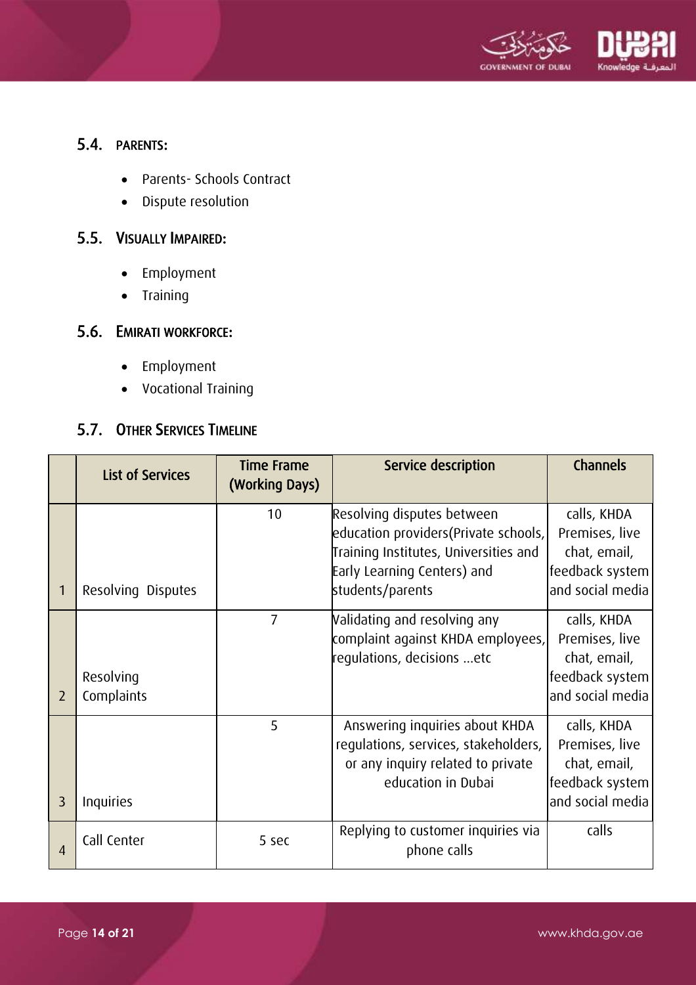

### <span id="page-13-0"></span>5.4. PARENTS:

- Parents- Schools Contract
- Dispute resolution

#### <span id="page-13-1"></span>5.5. VISUALLY IMPAIRED:

- Employment
- Training

### <span id="page-13-2"></span>5.6. EMIRATI WORKFORCE:

- Employment
- Vocational Training

### <span id="page-13-3"></span>5.7. OTHER SERVICES TIMELINE

|                | <b>List of Services</b> | <b>Time Frame</b><br>(Working Days) | Service description                                                                                                                                             | <b>Channels</b>                                                                      |
|----------------|-------------------------|-------------------------------------|-----------------------------------------------------------------------------------------------------------------------------------------------------------------|--------------------------------------------------------------------------------------|
|                | Resolving Disputes      | 10                                  | Resolving disputes between<br>education providers(Private schools, <br>Training Institutes, Universities and<br>Early Learning Centers) and<br>students/parents | calls, KHDA<br>Premises, live<br>chat, email,<br>feedback system<br>and social media |
| $\overline{2}$ | Resolving<br>Complaints | $\overline{7}$                      | Validating and resolving any<br>complaint against KHDA employees,<br>regulations, decisions etc                                                                 | calls, KHDA<br>Premises, live<br>chat, email,<br>feedback system<br>and social media |
| 3              | <b>Inquiries</b>        | 5                                   | Answering inquiries about KHDA<br>regulations, services, stakeholders,<br>or any inquiry related to private<br>education in Dubai                               | calls, KHDA<br>Premises, live<br>chat, email,<br>feedback system<br>and social media |
| 4              | Call Center             | 5 sec                               | Replying to customer inquiries via<br>phone calls                                                                                                               | calls                                                                                |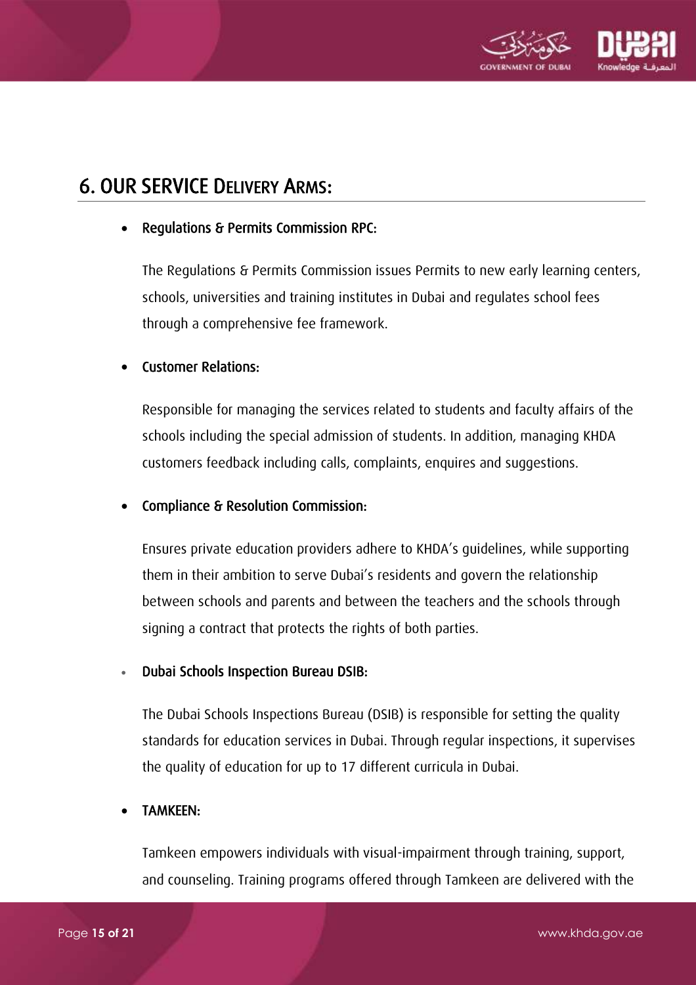

# <span id="page-14-0"></span>6. OUR SERVICE DELIVERY ARMS:

#### Regulations & Permits Commission RPC:

The Regulations & Permits Commission issues Permits to new early learning centers, schools, universities and training institutes in Dubai and regulates school fees through a comprehensive fee framework.

#### Customer Relations:

Responsible for managing the services related to students and faculty affairs of the schools including the special admission of students. In addition, managing KHDA customers feedback including calls, complaints, enquires and suggestions.

#### Compliance & Resolution Commission:

Ensures private education providers adhere to KHDA's guidelines, while supporting them in their ambition to serve Dubai's residents and govern the relationship between schools and parents and between the teachers and the schools through signing a contract that protects the rights of both parties.

#### Dubai Schools Inspection Bureau DSIB:

The Dubai Schools Inspections Bureau (DSIB) is responsible for setting the quality standards for education services in Dubai. Through regular inspections, it supervises the quality of education for up to 17 different curricula in Dubai.

#### TAMKEEN:

Tamkeen empowers individuals with visual-impairment through training, support, and counseling. Training programs offered through Tamkeen are delivered with the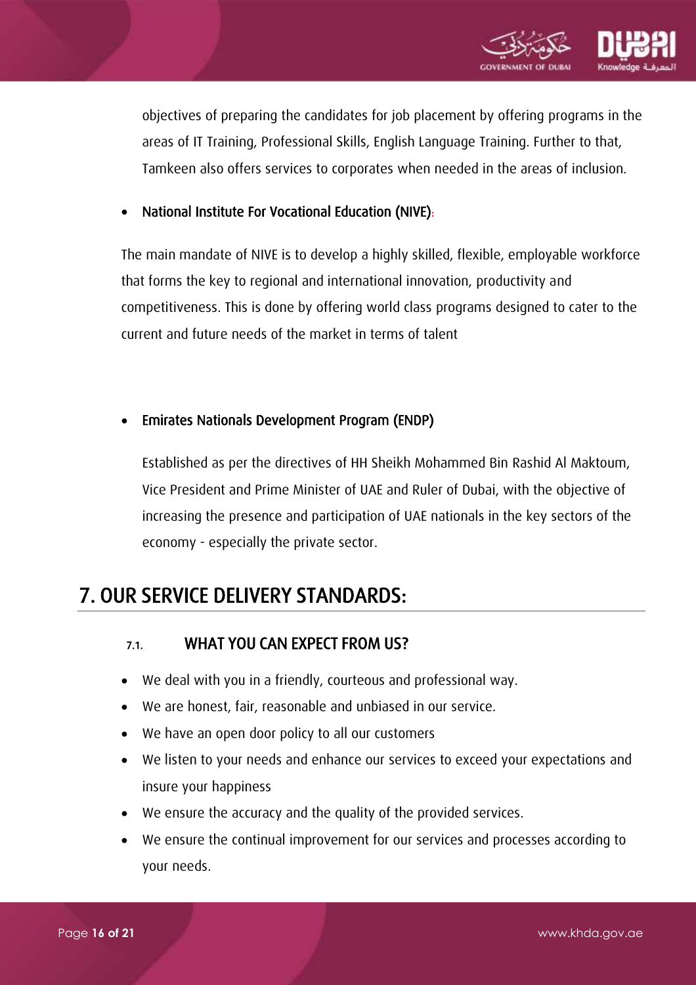

objectives of preparing the candidates for job placement by offering programs in the areas of IT Training, Professional Skills, English Language Training. Further to that, Tamkeen also offers services to corporates when needed in the areas of inclusion.

#### [National Institute For Vocational Education \(NIVE\)](http://www.nive.gov.ae/En/Default.aspx):

The main mandate of NIVE is to develop a highly skilled, flexible, employable workforce that forms the key to regional and international innovation, productivity and competitiveness. This is done by offering world class programs designed to cater to the current and future needs of the market in terms of talent

#### Emirates Nationals Development Program (ENDP)

Established as per the directives of HH Sheikh Mohammed Bin Rashid Al Maktoum, Vice President and Prime Minister of UAE and Ruler of Dubai, with the objective of increasing the presence and participation of UAE nationals in the key sectors of the economy - especially the private sector.

# <span id="page-15-1"></span><span id="page-15-0"></span>7. OUR SERVICE DELIVERY STANDARDS:

#### 7.1. WHAT YOU CAN EXPECT FROM US?

- We deal with you in a friendly, courteous and professional way.
- We are honest, fair, reasonable and unbiased in our service.
- We have an open door policy to all our customers
- We listen to your needs and enhance our services to exceed your expectations and insure your happiness
- We ensure the accuracy and the quality of the provided services.
- We ensure the continual improvement for our services and processes according to your needs.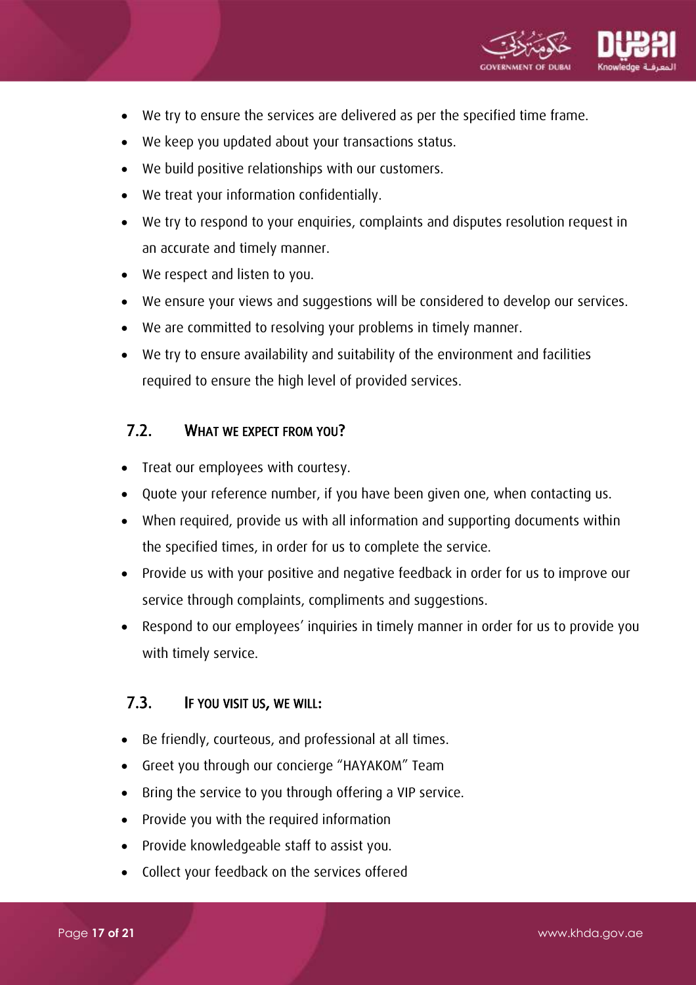

- We try to ensure the services are delivered as per the specified time frame.
- We keep you updated about your transactions status.
- We build positive relationships with our customers.
- We treat your information confidentially.
- We try to respond to your enquiries, complaints and disputes resolution request in an accurate and timely manner.
- We respect and listen to you.
- We ensure your views and suggestions will be considered to develop our services.
- We are committed to resolving your problems in timely manner.
- We try to ensure availability and suitability of the environment and facilities required to ensure the high level of provided services.

#### <span id="page-16-0"></span>7.2. WHAT WE EXPECT FROM YOU?

- Treat our employees with courtesy.
- Quote your reference number, if you have been given one, when contacting us.
- When required, provide us with all information and supporting documents within the specified times, in order for us to complete the service.
- Provide us with your positive and negative feedback in order for us to improve our service through complaints, compliments and suggestions.
- Respond to our employees' inquiries in timely manner in order for us to provide you with timely service.

#### <span id="page-16-1"></span>7.3. IF YOU VISIT US, WE WILL:

- Be friendly, courteous, and professional at all times.
- Greet you through our concierge "HAYAKOM" Team
- Bring the service to you through offering a VIP service.
- Provide you with the required information
- Provide knowledgeable staff to assist you.
- Collect your feedback on the services offered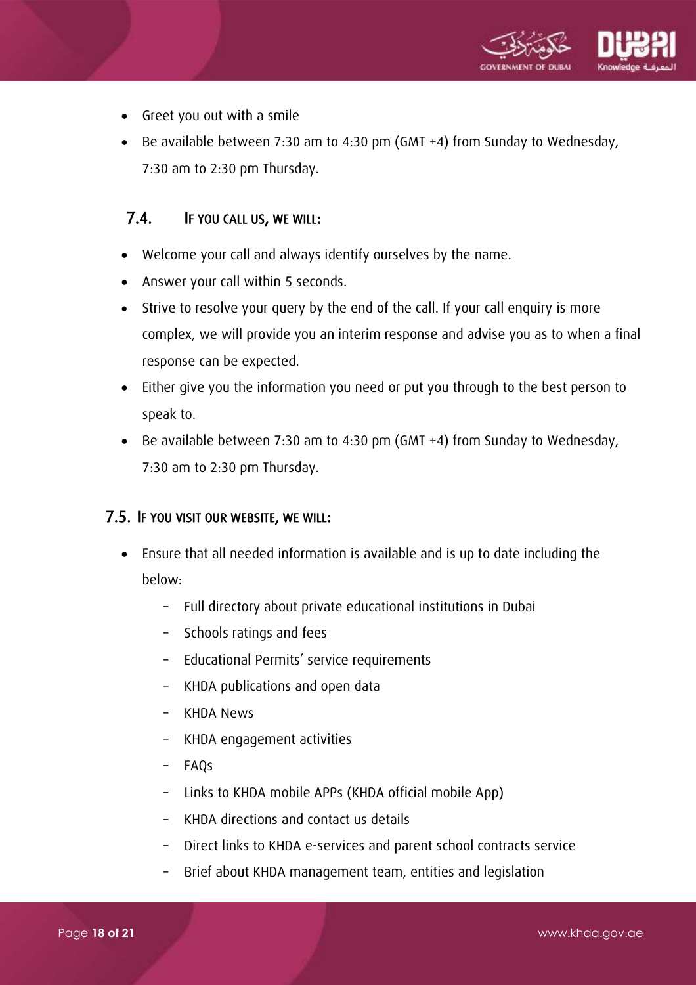

- Greet you out with a smile
- Be available between 7:30 am to 4:30 pm (GMT +4) from Sunday to Wednesday, 7:30 am to 2:30 pm Thursday.

#### <span id="page-17-0"></span>7.4. IF YOU CALL US, WE WILL:

- Welcome your call and always identify ourselves by the name.
- Answer your call within 5 seconds.
- Strive to resolve your query by the end of the call. If your call enquiry is more complex, we will provide you an interim response and advise you as to when a final response can be expected.
- Either give you the information you need or put you through to the best person to speak to.
- Be available between 7:30 am to 4:30 pm (GMT +4) from Sunday to Wednesday, 7:30 am to 2:30 pm Thursday.

#### <span id="page-17-1"></span>7.5. IF YOU VISIT OUR WEBSITE, WE WILL:

- Ensure that all needed information is available and is up to date including the below:
	- Full directory about private educational institutions in Dubai
	- Schools ratings and fees
	- Educational Permits' service requirements
	- KHDA publications and open data
	- KHDA News
	- KHDA engagement activities
	- FAQs
	- Links to KHDA mobile APPs (KHDA official mobile App)
	- KHDA directions and contact us details
	- Direct links to KHDA e-services and parent school contracts service
	- Brief about KHDA management team, entities and legislation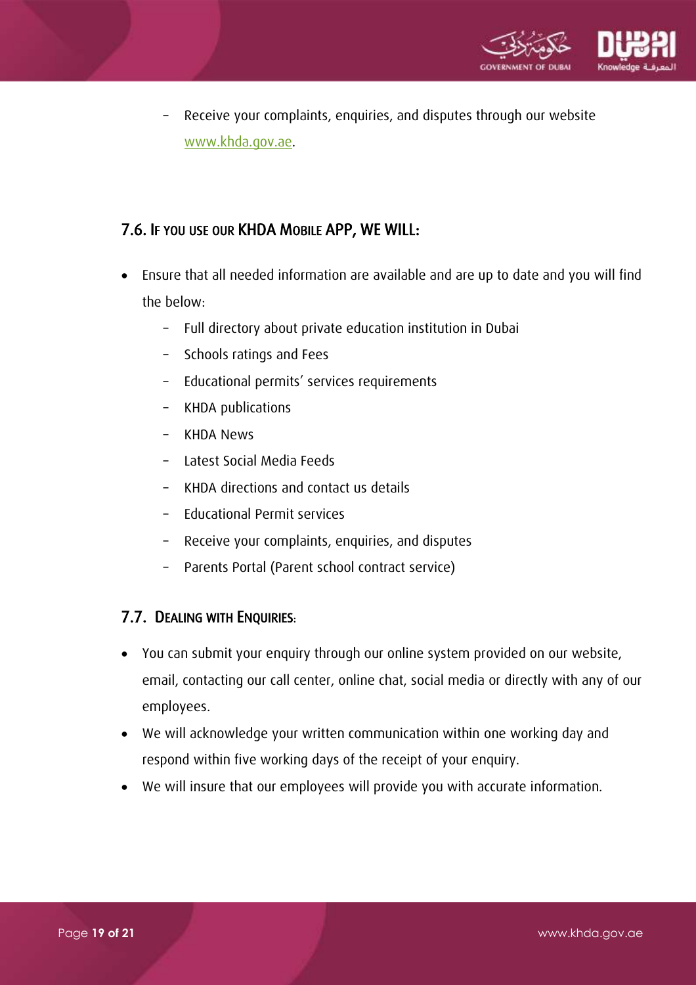

– Receive your complaints, enquiries, and disputes through our website [www.khda.gov.ae.](http://www.khda.gov.ae/)

### 7.6. IF YOU USE OUR KHDA MOBILE APP, WE WILL:

- Ensure that all needed information are available and are up to date and you will find the below:
	- Full directory about private education institution in Dubai
	- Schools ratings and Fees
	- Educational permits' services requirements
	- KHDA publications
	- KHDA News
	- Latest Social Media Feeds
	- KHDA directions and contact us details
	- Educational Permit services
	- Receive your complaints, enquiries, and disputes
	- Parents Portal (Parent school contract service)

#### <span id="page-18-0"></span>7.7. DEALING WITH ENQUIRIES:

- You can submit your enquiry through our online system provided on our website, email, contacting our call center, online chat, social media or directly with any of our employees.
- We will acknowledge your written communication within one working day and respond within five working days of the receipt of your enquiry.
- We will insure that our employees will provide you with accurate information.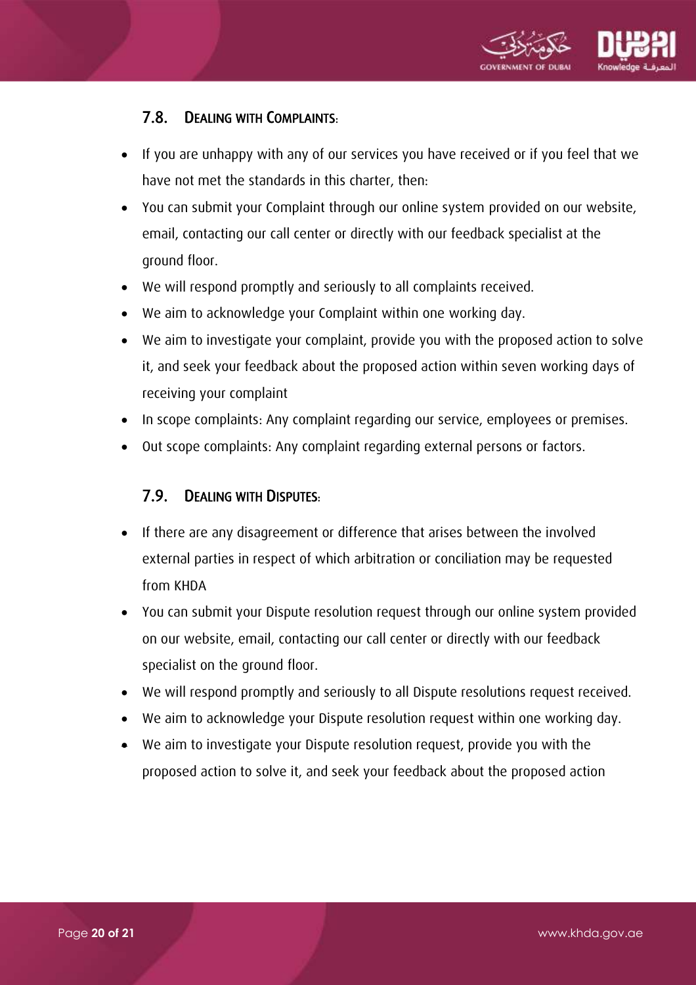

### 7.8. DEALING WITH COMPLAINTS:

- <span id="page-19-0"></span> If you are unhappy with any of our services you have received or if you feel that we have not met the standards in this charter, then:
- You can submit your Complaint through our online system provided on our website, email, contacting our call center or directly with our feedback specialist at the ground floor.
- We will respond promptly and seriously to all complaints received.
- We aim to acknowledge your Complaint within one working day.
- We aim to investigate your complaint, provide you with the proposed action to solve it, and seek your feedback about the proposed action within seven working days of receiving your complaint
- In scope complaints: Any complaint regarding our service, employees or premises.
- <span id="page-19-1"></span>Out scope complaints: Any complaint regarding external persons or factors.

#### 7.9. DEALING WITH DISPUTES:

- If there are any disagreement or difference that arises between the involved external parties in respect of which arbitration or conciliation may be requested from KHDA
- You can submit your Dispute resolution request through our online system provided on our website, email, contacting our call center or directly with our feedback specialist on the ground floor.
- We will respond promptly and seriously to all Dispute resolutions request received.
- We aim to acknowledge your Dispute resolution request within one working day.
- We aim to investigate your Dispute resolution request, provide you with the proposed action to solve it, and seek your feedback about the proposed action